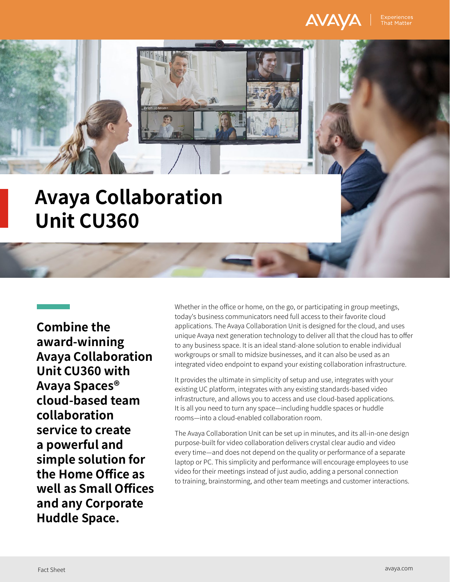

**Combine the award-winning Avaya Collaboration Unit CU360 with Avaya Spaces® cloud-based team collaboration service to create a powerful and simple solution for the Home Office as well as Small Offices and any Corporate Huddle Space.**

Whether in the office or home, on the go, or participating in group meetings, today's business communicators need full access to their favorite cloud applications. The Avaya Collaboration Unit is designed for the cloud, and uses unique Avaya next generation technology to deliver all that the cloud has to offer to any business space. It is an ideal stand-alone solution to enable individual workgroups or small to midsize businesses, and it can also be used as an integrated video endpoint to expand your existing collaboration infrastructure.

It provides the ultimate in simplicity of setup and use, integrates with your existing UC platform, integrates with any existing standards-based video infrastructure, and allows you to access and use cloud-based applications. It is all you need to turn any space—including huddle spaces or huddle rooms—into a cloud-enabled collaboration room.

The Avaya Collaboration Unit can be set up in minutes, and its all-in-one design purpose-built for video collaboration delivers crystal clear audio and video every time—and does not depend on the quality or performance of a separate laptop or PC. This simplicity and performance will encourage employees to use video for their meetings instead of just audio, adding a personal connection to training, brainstorming, and other team meetings and customer interactions.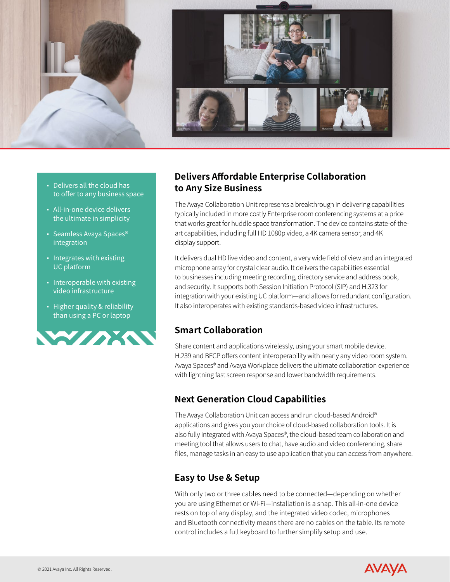

- Delivers all the cloud has to offer to any business space
- All-in-one device delivers the ultimate in simplicity
- Seamless Avaya Spaces<sup>®</sup> integration
- **·** Integrates with existing UC platform
- Interoperable with existing video infrastructure
- Higher quality & reliability than using a PC or laptop



## **Delivers Affordable Enterprise Collaboration to Any Size Business**

The Avaya Collaboration Unit represents a breakthrough in delivering capabilities typically included in more costly Enterprise room conferencing systems at a price that works great for huddle space transformation. The device contains state-of-theart capabilities, including full HD 1080p video, a 4K camera sensor, and 4K display support.

It delivers dual HD live video and content, a very wide field of view and an integrated microphone array for crystal clear audio. It delivers the capabilities essential to businesses including meeting recording, directory service and address book, and security. It supports both Session Initiation Protocol (SIP) and H.323 for integration with your existing UC platform—and allows for redundant configuration. It also interoperates with existing standards-based video infrastructures.

## **Smart Collaboration**

Share content and applications wirelessly, using your smart mobile device. H.239 and BFCP offers content interoperability with nearly any video room system. Avaya Spaces® and Avaya Workplace delivers the ultimate collaboration experience with lightning fast screen response and lower bandwidth requirements.

## **Next Generation Cloud Capabilities**

The Avaya Collaboration Unit can access and run cloud-based Android® applications and gives you your choice of cloud-based collaboration tools. It is also fully integrated with Avaya Spaces®, the cloud-based team collaboration and meeting tool that allows users to chat, have audio and video conferencing, share files, manage tasks in an easy to use application that you can access from anywhere.

## **Easy to Use & Setup**

With only two or three cables need to be connected—depending on whether you are using Ethernet or Wi-Fi—installation is a snap. This all-in-one device rests on top of any display, and the integrated video codec, microphones and Bluetooth connectivity means there are no cables on the table. Its remote control includes a full keyboard to further simplify setup and use.

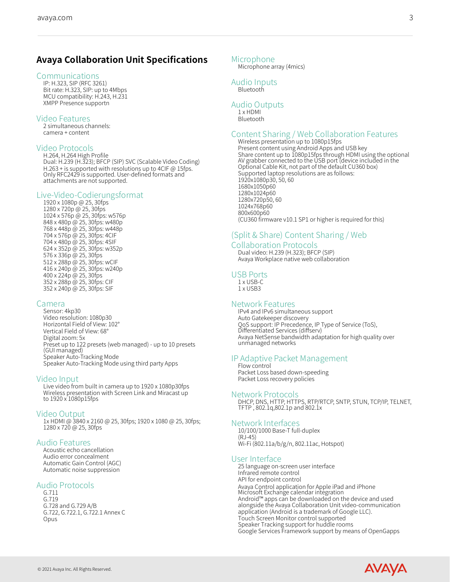#### Communications

IP: H.323, SIP (RFC 3261) Bit rate: H.323, SIP: up to 4Mbps MCU compatibility: H.243, H.231 XMPP Presence supportn

#### Video Features

2 simultaneous channels: camera + content

#### Video Protocols

H.264, H.264 High Profile Dual: H.239 (H.323); BFCP (SIP) SVC (Scalable Video Coding) H.263 + is supported with resolutions up to 4CIF @ 15fps. Only RFC2429 is supported. User-defined formats and attachments are not supported.

# Live-Video-Codierungsformat 1920 x 1080p @ 25, 30fps

1280 x 720p @ 25, 30fps 1024 x 576p @ 25, 30fps: w576p 848 x 480p @ 25, 30fps: w480p 768 x 448p @ 25, 30fps: w448p 704 x 576p @ 25, 30fps: 4CIF 704 x 480p @ 25, 30fps: 4SIF 624 x 352p @ 25, 30fps: w352p 576 x 336p @ 25, 30fps 512 x 288p @ 25, 30fps: wCIF 416 x 240p @ 25, 30fps: w240p 400 x 224p @ 25, 30fps 352 x 288p @ 25, 30fps: CIF 352 x 240p @ 25, 30fps: SIF

### Camera

Sensor: 4kp30 Video resolution: 1080p30 Horizontal Field of View: 102° Vertical Field of View: 68° Digital zoom: 5x Preset up to 122 presets (web managed) - up to 10 presets (GUI managed) Speaker Auto-Tracking Mode Speaker Auto-Tracking Mode using third party Apps

Video Input<br>Live video from built in camera up to 1920 x 1080p30fps Wireless presentation with Screen Link and Miracast up to 1920 x 1080p15fps

Video Output<br>1x HDMI @ 3840 x 2160 @ 25, 30fps; 1920 x 1080 @ 25, 30fps; 1280 x 720 @ 25, 30fps

### Audio Features

Acoustic echo cancellation Audio error concealment Automatic Gain Control (AGC) Automatic noise suppression

#### Audio Protocols

G.711 G.719 G.728 and G.729 A/B G.722, G.722.1, G.722.1 Annex C Opus

#### Microphone

Microphone array (4mics)

### Audio Inputs

**Bluetooth** 

### Audio Outputs

1 x HDMI Bluetooth

# Content Sharing / Web Collaboration Features Wireless presentation up to 1080p15fps

Present content using Android Apps and USB key Share content up to 1080p15fps through HDMI using the optional AV grabber connected to the USB port (device included in the Optional Cable Kit, not part of the default CU360 box) Supported laptop resolutions are as follows: 1920x1080p30, 50, 60 1680x1050p60 1280x1024p60 1280x720p50, 60 1024x768p60 800x600p60 (CU360 firmware v10.1 SP1 or higher is required for this)

## (Split & Share) Content Sharing / Web

#### Collaboration Protocols

Dual video: H.239 (H.323); BFCP (SIP) Avaya Workplace native web collaboration

### USB Ports

1 x USB-C 1 x USB3

### Network Features

IPv4 and IPv6 simultaneous support Auto Gatekeeper discovery QoS support: IP Precedence, IP Type of Service (ToS), Differentiated Services (diffserv) Avaya NetSense bandwidth adaptation for high quality over unmanaged networks

# IP Adaptive Packet Management Flow control

Packet Loss based down-speeding Packet Loss recovery policies

#### Network Protocols

DHCP, DNS, HTTP, HTTPS, RTP/RTCP, SNTP, STUN, TCP/IP, TELNET, TFTP , 802.1q,802.1p and 802.1x

#### Network Interfaces

10/100/1000 Base-T full-duplex  $(R.I-45)$ Wi-Fi (802.11a/b/g/n, 802.11ac, Hotspot)

#### User Interface

25 language on-screen user interface Infrared remote control API for endpoint control Avaya Control application for Apple iPad and iPhone Microsoft Exchange calendar integration Android™ apps can be downloaded on the device and used alongside the Avaya Collaboration Unit video-communication application (Android is a trademark of Google LLC). Touch Screen Monitor control supported Speaker Tracking support for huddle rooms Google Services Framework support by means of OpenGapps